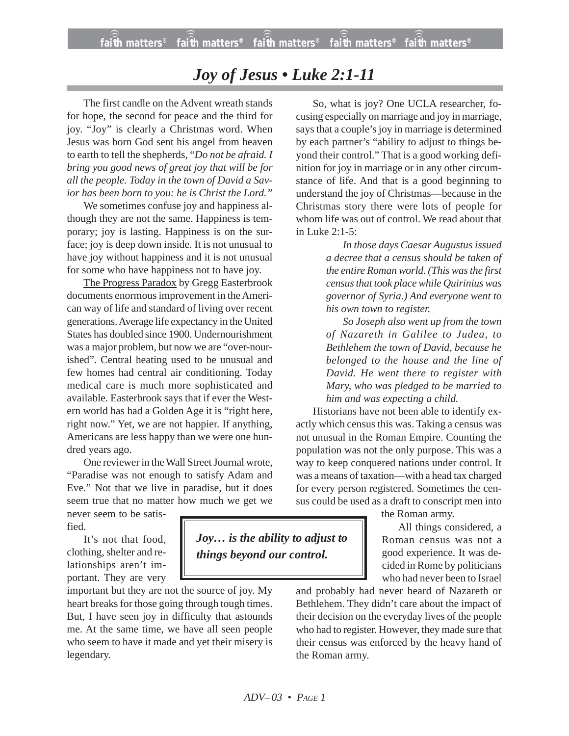## *Joy of Jesus • Luke 2:1-11*

The first candle on the Advent wreath stands for hope, the second for peace and the third for joy. "Joy" is clearly a Christmas word. When Jesus was born God sent his angel from heaven to earth to tell the shepherds, "*Do not be afraid. I bring you good news of great joy that will be for all the people. Today in the town of David a Savior has been born to you: he is Christ the Lord."*

We sometimes confuse joy and happiness although they are not the same. Happiness is temporary; joy is lasting. Happiness is on the surface; joy is deep down inside. It is not unusual to have joy without happiness and it is not unusual for some who have happiness not to have joy.

The Progress Paradox by Gregg Easterbrook documents enormous improvement in the American way of life and standard of living over recent generations. Average life expectancy in the United States has doubled since 1900. Undernourishment was a major problem, but now we are "over-nourished". Central heating used to be unusual and few homes had central air conditioning. Today medical care is much more sophisticated and available. Easterbrook says that if ever the Western world has had a Golden Age it is "right here, right now." Yet, we are not happier. If anything, Americans are less happy than we were one hundred years ago.

One reviewer in the Wall Street Journal wrote, "Paradise was not enough to satisfy Adam and Eve." Not that we live in paradise, but it does seem true that no matter how much we get we

never seem to be satisfied.

It's not that food, clothing, shelter and relationships aren't important. They are very

important but they are not the source of joy. My heart breaks for those going through tough times. But, I have seen joy in difficulty that astounds me. At the same time, we have all seen people who seem to have it made and yet their misery is legendary.

So, what is joy? One UCLA researcher, focusing especially on marriage and joy in marriage, says that a couple's joy in marriage is determined by each partner's "ability to adjust to things beyond their control." That is a good working definition for joy in marriage or in any other circumstance of life. And that is a good beginning to understand the joy of Christmas—because in the Christmas story there were lots of people for whom life was out of control. We read about that in Luke 2:1-5:

> *In those days Caesar Augustus issued a decree that a census should be taken of the entire Roman world. (This was the first census that took place while Quirinius was governor of Syria.) And everyone went to his own town to register.*

> *So Joseph also went up from the town of Nazareth in Galilee to Judea, to Bethlehem the town of David, because he belonged to the house and the line of David. He went there to register with Mary, who was pledged to be married to him and was expecting a child.*

Historians have not been able to identify exactly which census this was. Taking a census was not unusual in the Roman Empire. Counting the population was not the only purpose. This was a way to keep conquered nations under control. It was a means of taxation—with a head tax charged for every person registered. Sometimes the census could be used as a draft to conscript men into

the Roman army.

All things considered, a Roman census was not a good experience. It was decided in Rome by politicians who had never been to Israel

and probably had never heard of Nazareth or Bethlehem. They didn't care about the impact of their decision on the everyday lives of the people who had to register. However, they made sure that their census was enforced by the heavy hand of the Roman army.

*Joy… is the ability to adjust to things beyond our control.*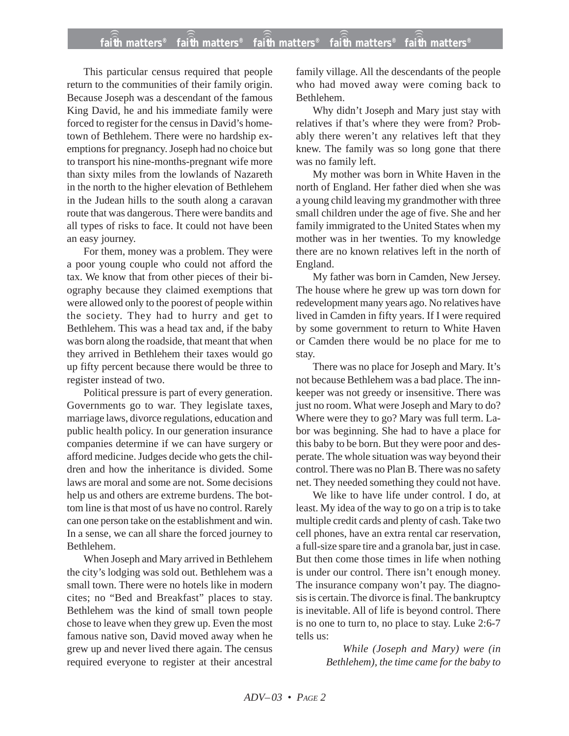## **faith matters® faith matters® faith matters® faith matters® faith matters®** ))) ))) ))) ))) )))

This particular census required that people return to the communities of their family origin. Because Joseph was a descendant of the famous King David, he and his immediate family were forced to register for the census in David's hometown of Bethlehem. There were no hardship exemptions for pregnancy. Joseph had no choice but to transport his nine-months-pregnant wife more than sixty miles from the lowlands of Nazareth in the north to the higher elevation of Bethlehem in the Judean hills to the south along a caravan route that was dangerous. There were bandits and all types of risks to face. It could not have been an easy journey.

For them, money was a problem. They were a poor young couple who could not afford the tax. We know that from other pieces of their biography because they claimed exemptions that were allowed only to the poorest of people within the society. They had to hurry and get to Bethlehem. This was a head tax and, if the baby was born along the roadside, that meant that when they arrived in Bethlehem their taxes would go up fifty percent because there would be three to register instead of two.

Political pressure is part of every generation. Governments go to war. They legislate taxes, marriage laws, divorce regulations, education and public health policy. In our generation insurance companies determine if we can have surgery or afford medicine. Judges decide who gets the children and how the inheritance is divided. Some laws are moral and some are not. Some decisions help us and others are extreme burdens. The bottom line is that most of us have no control. Rarely can one person take on the establishment and win. In a sense, we can all share the forced journey to Bethlehem.

When Joseph and Mary arrived in Bethlehem the city's lodging was sold out. Bethlehem was a small town. There were no hotels like in modern cites; no "Bed and Breakfast" places to stay. Bethlehem was the kind of small town people chose to leave when they grew up. Even the most famous native son, David moved away when he grew up and never lived there again. The census required everyone to register at their ancestral family village. All the descendants of the people who had moved away were coming back to Bethlehem.

Why didn't Joseph and Mary just stay with relatives if that's where they were from? Probably there weren't any relatives left that they knew. The family was so long gone that there was no family left.

My mother was born in White Haven in the north of England. Her father died when she was a young child leaving my grandmother with three small children under the age of five. She and her family immigrated to the United States when my mother was in her twenties. To my knowledge there are no known relatives left in the north of England.

My father was born in Camden, New Jersey. The house where he grew up was torn down for redevelopment many years ago. No relatives have lived in Camden in fifty years. If I were required by some government to return to White Haven or Camden there would be no place for me to stay.

There was no place for Joseph and Mary. It's not because Bethlehem was a bad place. The innkeeper was not greedy or insensitive. There was just no room. What were Joseph and Mary to do? Where were they to go? Mary was full term. Labor was beginning. She had to have a place for this baby to be born. But they were poor and desperate. The whole situation was way beyond their control. There was no Plan B. There was no safety net. They needed something they could not have.

We like to have life under control. I do, at least. My idea of the way to go on a trip is to take multiple credit cards and plenty of cash. Take two cell phones, have an extra rental car reservation, a full-size spare tire and a granola bar, just in case. But then come those times in life when nothing is under our control. There isn't enough money. The insurance company won't pay. The diagnosis is certain. The divorce is final. The bankruptcy is inevitable. All of life is beyond control. There is no one to turn to, no place to stay. Luke 2:6-7 tells us:

> *While (Joseph and Mary) were (in Bethlehem), the time came for the baby to*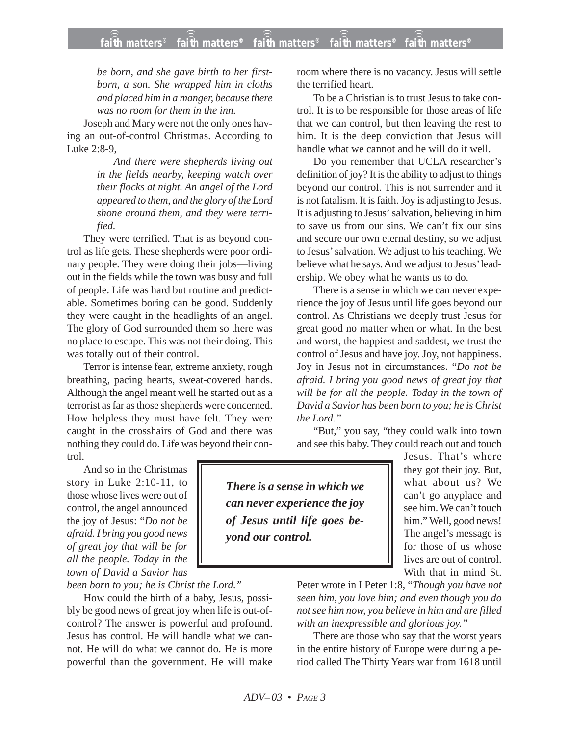*be born, and she gave birth to her firstborn, a son. She wrapped him in cloths and placed him in a manger, because there was no room for them in the inn.*

Joseph and Mary were not the only ones having an out-of-control Christmas. According to Luke 2:8-9,

> *And there were shepherds living out in the fields nearby, keeping watch over their flocks at night. An angel of the Lord appeared to them, and the glory of the Lord shone around them, and they were terrified.*

They were terrified. That is as beyond control as life gets. These shepherds were poor ordinary people. They were doing their jobs—living out in the fields while the town was busy and full of people. Life was hard but routine and predictable. Sometimes boring can be good. Suddenly they were caught in the headlights of an angel. The glory of God surrounded them so there was no place to escape. This was not their doing. This was totally out of their control.

Terror is intense fear, extreme anxiety, rough breathing, pacing hearts, sweat-covered hands. Although the angel meant well he started out as a terrorist as far as those shepherds were concerned. How helpless they must have felt. They were caught in the crosshairs of God and there was nothing they could do. Life was beyond their control.

And so in the Christmas story in Luke 2:10-11, to those whose lives were out of control, the angel announced the joy of Jesus: "*Do not be afraid. I bring you good news of great joy that will be for all the people. Today in the town of David a Savior has*

*been born to you; he is Christ the Lord."*

How could the birth of a baby, Jesus, possibly be good news of great joy when life is out-ofcontrol? The answer is powerful and profound. Jesus has control. He will handle what we cannot. He will do what we cannot do. He is more powerful than the government. He will make room where there is no vacancy. Jesus will settle the terrified heart.

To be a Christian is to trust Jesus to take control. It is to be responsible for those areas of life that we can control, but then leaving the rest to him. It is the deep conviction that Jesus will handle what we cannot and he will do it well.

Do you remember that UCLA researcher's definition of joy? It is the ability to adjust to things beyond our control. This is not surrender and it is not fatalism. It is faith. Joy is adjusting to Jesus. It is adjusting to Jesus' salvation, believing in him to save us from our sins. We can't fix our sins and secure our own eternal destiny, so we adjust to Jesus' salvation. We adjust to his teaching. We believe what he says. And we adjust to Jesus' leadership. We obey what he wants us to do.

There is a sense in which we can never experience the joy of Jesus until life goes beyond our control. As Christians we deeply trust Jesus for great good no matter when or what. In the best and worst, the happiest and saddest, we trust the control of Jesus and have joy. Joy, not happiness. Joy in Jesus not in circumstances. "*Do not be afraid. I bring you good news of great joy that will be for all the people. Today in the town of David a Savior has been born to you; he is Christ the Lord."*

"But," you say, "they could walk into town and see this baby. They could reach out and touch

*There is a sense in which we can never experience the joy of Jesus until life goes beyond our control.*

Jesus. That's where they got their joy. But, what about us? We can't go anyplace and see him. We can't touch him." Well, good news! The angel's message is for those of us whose lives are out of control. With that in mind St.

Peter wrote in I Peter 1:8, "*Though you have not seen him, you love him; and even though you do not see him now, you believe in him and are filled with an inexpressible and glorious joy."*

There are those who say that the worst years in the entire history of Europe were during a period called The Thirty Years war from 1618 until